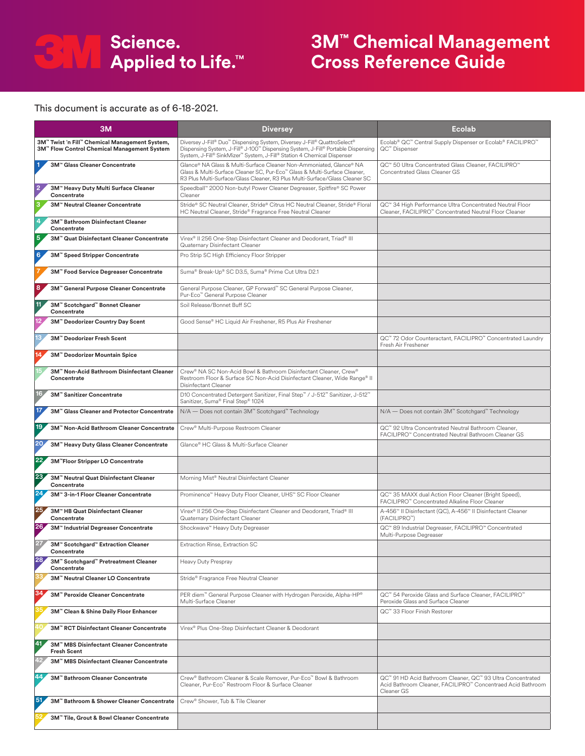

## **3M™ Chemical Management Cross Reference Guide**

## This document is accurate as of 6-18-2021.

| 3M                                                                                            | <b>Diversey</b>                                                                                                                                                                                                                             | Ecolab                                                                                                                                              |  |
|-----------------------------------------------------------------------------------------------|---------------------------------------------------------------------------------------------------------------------------------------------------------------------------------------------------------------------------------------------|-----------------------------------------------------------------------------------------------------------------------------------------------------|--|
| 3M™ Twist 'n Fill™ Chemical Management System,<br>3M™ Flow Control Chemical Management System | Diversey J-Fill® Duo™ Dispensing System, Diversey J-Fill® QuattroSelect®<br>Dispensing System, J-Fill® J-100™ Dispensing System, J-Fill® Portable Dispensing<br>System, J-Fill® SinkMizer™ System, J-Fill® Station 4 Chemical Dispenser     | Ecolab® QC™ Central Supply Dispenser or Ecolab® FACILIPRO™<br>QC™ Dispenser                                                                         |  |
| 3M™ Glass Cleaner Concentrate                                                                 | Glance® NA Glass & Multi-Surface Cleaner Non-Ammoniated, Glance® NA<br>Glass & Multi-Surface Cleaner SC, Pur-Eco <sup>n</sup> Glass & Multi-Surface Cleaner,<br>R3 Plus Multi-Surface/Glass Cleaner, R3 Plus Multi-Surface/Glass Cleaner SC | QC™ 50 Ultra Concentrated Glass Cleaner, FACILIPRO™<br>Concentrated Glass Cleaner GS                                                                |  |
| $\overline{2}$<br>3M™ Heavy Duty Multi Surface Cleaner<br>Concentrate                         | Speedball" 2000 Non-butyl Power Cleaner Degreaser, Spitfire® SC Power<br>Cleaner                                                                                                                                                            |                                                                                                                                                     |  |
| 3M™ Neutral Cleaner Concentrate                                                               | Stride® SC Neutral Cleaner, Stride® Citrus HC Neutral Cleaner, Stride® Floral<br>HC Neutral Cleaner, Stride® Fragrance Free Neutral Cleaner                                                                                                 | QC™ 34 High Performance Ultra Concentrated Neutral Floor<br>Cleaner, FACILIPRO <sup>®</sup> Concentrated Neutral Floor Cleaner                      |  |
| 3M™ Bathroom Disinfectant Cleaner<br>Concentrate                                              |                                                                                                                                                                                                                                             |                                                                                                                                                     |  |
| 5<br>3M <sup>™</sup> Quat Disinfectant Cleaner Concentrate                                    | Virex® II 256 One-Step Disinfectant Cleaner and Deodorant, Triad® III<br>Quaternary Disinfectant Cleaner                                                                                                                                    |                                                                                                                                                     |  |
| 6<br>3M™ Speed Stripper Concentrate                                                           | Pro Strip SC High Efficiency Floor Stripper                                                                                                                                                                                                 |                                                                                                                                                     |  |
| 3M" Food Service Degreaser Concentrate                                                        | Suma® Break-Up® SC D3.5, Suma® Prime Cut Ultra D2.1                                                                                                                                                                                         |                                                                                                                                                     |  |
| 8<br>3M" General Purpose Cleaner Concentrate                                                  | General Purpose Cleaner, GP Forward <sup>*</sup> SC General Purpose Cleaner,<br>Pur-Eco <sup>™</sup> General Purpose Cleaner                                                                                                                |                                                                                                                                                     |  |
| 11<br>3M™ Scotchgard™ Bonnet Cleaner<br>Concentrate                                           | Soil Release/Bonnet Buff SC                                                                                                                                                                                                                 |                                                                                                                                                     |  |
| 3M <sup>™</sup> Deodorizer Country Day Scent                                                  | Good Sense® HC Liquid Air Freshener, R5 Plus Air Freshener                                                                                                                                                                                  |                                                                                                                                                     |  |
| 3M™ Deodorizer Fresh Scent                                                                    |                                                                                                                                                                                                                                             | QC™ 72 Odor Counteractant, FACILIPRO™ Concentrated Laundry<br>Fresh Air Freshener                                                                   |  |
| 3M" Deodorizer Mountain Spice                                                                 |                                                                                                                                                                                                                                             |                                                                                                                                                     |  |
| 3M™ Non-Acid Bathroom Disinfectant Cleaner<br>Concentrate                                     | Crew® NA SC Non-Acid Bowl & Bathroom Disinfectant Cleaner, Crew®<br>Restroom Floor & Surface SC Non-Acid Disinfectant Cleaner, Wide Range® II<br>Disinfectant Cleaner                                                                       |                                                                                                                                                     |  |
| 16<br>3M" Sanitizer Concentrate                                                               | D10 Concentrated Detergent Sanitizer, Final Step™ / J-512™ Sanitizer, J-512™<br>Sanitizer, Suma® Final Step® 1024                                                                                                                           |                                                                                                                                                     |  |
| 17,<br>3M <sup>™</sup> Glass Cleaner and Protector Concentrate                                | N/A — Does not contain 3M™ Scotchgard™ Technology                                                                                                                                                                                           | N/A - Does not contain 3M™ Scotchgard™ Technology                                                                                                   |  |
| 19<br>3M™ Non-Acid Bathroom Cleaner Concentrate                                               | Crew <sup>®</sup> Multi-Purpose Restroom Cleaner                                                                                                                                                                                            | QC™ 92 Ultra Concentrated Neutral Bathroom Cleaner,<br>FACILIPRO <sup>"</sup> Concentrated Neutral Bathroom Cleaner GS                              |  |
| 20<br>3M" Heavy Duty Glass Cleaner Concentrate                                                | Glance® HC Glass & Multi-Surface Cleaner                                                                                                                                                                                                    |                                                                                                                                                     |  |
| 22<br>3M"Floor Stripper LO Concentrate                                                        |                                                                                                                                                                                                                                             |                                                                                                                                                     |  |
| 23 <sub>4</sub><br>3M <sup>™</sup> Neutral Quat Disinfectant Cleaner<br>Concentrate           | Morning Mist® Neutral Disinfectant Cleaner                                                                                                                                                                                                  |                                                                                                                                                     |  |
| 24<br>3M™ 3-in-1 Floor Cleaner Concentrate                                                    | Prominence" Heavy Duty Floor Cleaner, UHS" SC Floor Cleaner                                                                                                                                                                                 | QC™ 35 MAXX dual Action Floor Cleaner (Bright Speed),<br>FACILIPRO™ Concentrated Alkaline Floor Cleaner                                             |  |
| 25<br>3M™ HB Quat Disinfectant Cleaner<br>Concentrate                                         | Virex® II 256 One-Step Disinfectant Cleaner and Deodorant, Triad® III<br>Quaternary Disinfectant Cleaner                                                                                                                                    | A-456 <sup>™</sup> Il Disinfectant (QC), A-456 <sup>™</sup> Il Disinfectant Cleaner<br>(FACILIPRO™)                                                 |  |
| 26<br>3M™ Industrial Degreaser Concentrate                                                    | Shockwave™ Heavy Duty Degreaser                                                                                                                                                                                                             | QC™ 89 Industrial Degreaser, FACILIPRO™ Concentrated<br>Multi-Purpose Degreaser                                                                     |  |
| 3M" Scotchgard" Extraction Cleaner<br>Concentrate                                             | Extraction Rinse, Extraction SC                                                                                                                                                                                                             |                                                                                                                                                     |  |
| 28<br>3M" Scotchgard" Pretreatment Cleaner<br>Concentrate                                     | Heavy Duty Prespray                                                                                                                                                                                                                         |                                                                                                                                                     |  |
| 3M™ Neutral Cleaner LO Concentrate                                                            | Stride® Fragrance Free Neutral Cleaner                                                                                                                                                                                                      |                                                                                                                                                     |  |
| 34<br>3M™ Peroxide Cleaner Concentrate                                                        | PER diem <sup>™</sup> General Purpose Cleaner with Hydrogen Peroxide, Alpha-HP®<br>Multi-Surface Cleaner                                                                                                                                    | QC™ 54 Peroxide Glass and Surface Cleaner, FACILIPRO™<br>Peroxide Glass and Surface Cleaner                                                         |  |
| 3M" Clean & Shine Daily Floor Enhancer                                                        |                                                                                                                                                                                                                                             | QC™ 33 Floor Finish Restorer                                                                                                                        |  |
| 3M <sup>™</sup> RCT Disinfectant Cleaner Concentrate                                          | Virex® Plus One-Step Disinfectant Cleaner & Deodorant                                                                                                                                                                                       |                                                                                                                                                     |  |
| 41<br>3M™ MBS Disinfectant Cleaner Concentrate<br><b>Fresh Scent</b>                          |                                                                                                                                                                                                                                             |                                                                                                                                                     |  |
| 3M <sup>™</sup> MBS Disinfectant Cleaner Concentrate                                          |                                                                                                                                                                                                                                             |                                                                                                                                                     |  |
| 44<br>3M™ Bathroom Cleaner Concentrate                                                        | Crew <sup>®</sup> Bathroom Cleaner & Scale Remover, Pur-Eco <sup>™</sup> Bowl & Bathroom<br>Cleaner, Pur-Eco <sup>n</sup> Restroom Floor & Surface Cleaner                                                                                  | QC™ 91 HD Acid Bathroom Cleaner, QC™ 93 Ultra Concentrated<br>Acid Bathroom Cleaner, FACILIPRO <sup>™</sup> Concentraed Acid Bathroom<br>Cleaner GS |  |
| 51<br>3M" Bathroom & Shower Cleaner Concentrate                                               | Crew® Shower, Tub & Tile Cleaner                                                                                                                                                                                                            |                                                                                                                                                     |  |
| 3M" Tile, Grout & Bowl Cleaner Concentrate                                                    |                                                                                                                                                                                                                                             |                                                                                                                                                     |  |